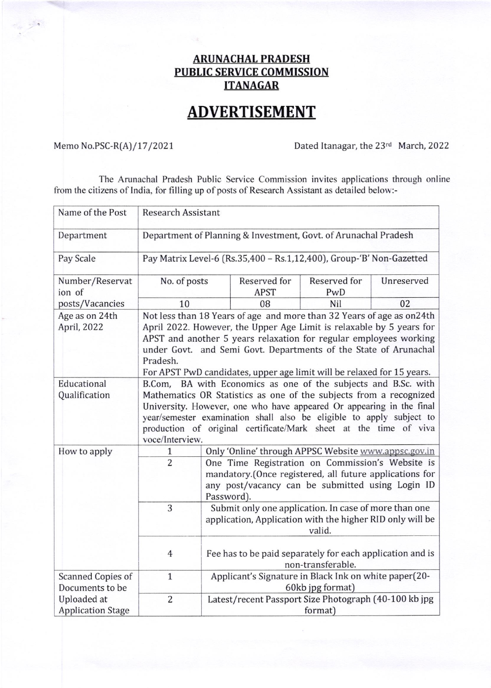## **ARUNACHAL PRADESH** PUBLIC SERVICE COMMISSION ITANAGAR

## **ADVERTISEMENT**

 $\rightarrow$ 

Memo No.PSC-R(A)/17/2021 Dated Itanagar, the 23<sup>rd</sup> March, 2022

The Arunachal Pradesh Public Service Commission invites applications through online from the citizens of India, for filling up of posts of Research Assistant as detailed below:-

| Name of the Post                        | <b>Research Assistant</b>                                                                                                                                                                                                                                                                                                                                                       |                                                                                                                                                                               |                                                                                                                    |                     |            |
|-----------------------------------------|---------------------------------------------------------------------------------------------------------------------------------------------------------------------------------------------------------------------------------------------------------------------------------------------------------------------------------------------------------------------------------|-------------------------------------------------------------------------------------------------------------------------------------------------------------------------------|--------------------------------------------------------------------------------------------------------------------|---------------------|------------|
| Department                              | Department of Planning & Investment, Govt. of Arunachal Pradesh                                                                                                                                                                                                                                                                                                                 |                                                                                                                                                                               |                                                                                                                    |                     |            |
| Pay Scale                               | Pay Matrix Level-6 (Rs.35,400 - Rs.1,12,400), Group-'B' Non-Gazetted                                                                                                                                                                                                                                                                                                            |                                                                                                                                                                               |                                                                                                                    |                     |            |
| Number/Reservat<br>ion of               | No. of posts                                                                                                                                                                                                                                                                                                                                                                    |                                                                                                                                                                               | Reserved for<br><b>APST</b>                                                                                        | Reserved for<br>PwD | Unreserved |
| posts/Vacancies                         | 10                                                                                                                                                                                                                                                                                                                                                                              |                                                                                                                                                                               | 08                                                                                                                 | Nil                 | 02         |
| Age as on 24th<br>April, 2022           | Not less than 18 Years of age and more than 32 Years of age as on24th<br>April 2022. However, the Upper Age Limit is relaxable by 5 years for<br>APST and another 5 years relaxation for regular employees working<br>under Govt. and Semi Govt. Departments of the State of Arunachal<br>Pradesh.<br>For APST PwD candidates, upper age limit will be relaxed for 15 years.    |                                                                                                                                                                               |                                                                                                                    |                     |            |
| Educational<br>Qualification            | BA with Economics as one of the subjects and B.Sc. with<br>B.Com,<br>Mathematics OR Statistics as one of the subjects from a recognized<br>University. However, one who have appeared Or appearing in the final<br>year/semester examination shall also be eligible to apply subject to<br>production of original certificate/Mark sheet at the time of viva<br>voce/Interview. |                                                                                                                                                                               |                                                                                                                    |                     |            |
| How to apply                            | 1                                                                                                                                                                                                                                                                                                                                                                               | Only 'Online' through APPSC Website www.appsc.gov.in                                                                                                                          |                                                                                                                    |                     |            |
|                                         | $\overline{2}$                                                                                                                                                                                                                                                                                                                                                                  | One Time Registration on Commission's Website is<br>mandatory.(Once registered, all future applications for<br>any post/vacancy can be submitted using Login ID<br>Password). |                                                                                                                    |                     |            |
|                                         | 3                                                                                                                                                                                                                                                                                                                                                                               |                                                                                                                                                                               | Submit only one application. In case of more than one<br>application, Application with the higher RID only will be | valid.              |            |
|                                         | $\overline{4}$                                                                                                                                                                                                                                                                                                                                                                  |                                                                                                                                                                               | Fee has to be paid separately for each application and is                                                          | non-transferable.   |            |
| Scanned Copies of<br>Documents to be    | $\mathbf{1}$                                                                                                                                                                                                                                                                                                                                                                    |                                                                                                                                                                               | Applicant's Signature in Black Ink on white paper(20-                                                              | 60kb jpg format)    |            |
| Uploaded at<br><b>Application Stage</b> | $\overline{2}$                                                                                                                                                                                                                                                                                                                                                                  |                                                                                                                                                                               | Latest/recent Passport Size Photograph (40-100 kb jpg                                                              | format)             |            |